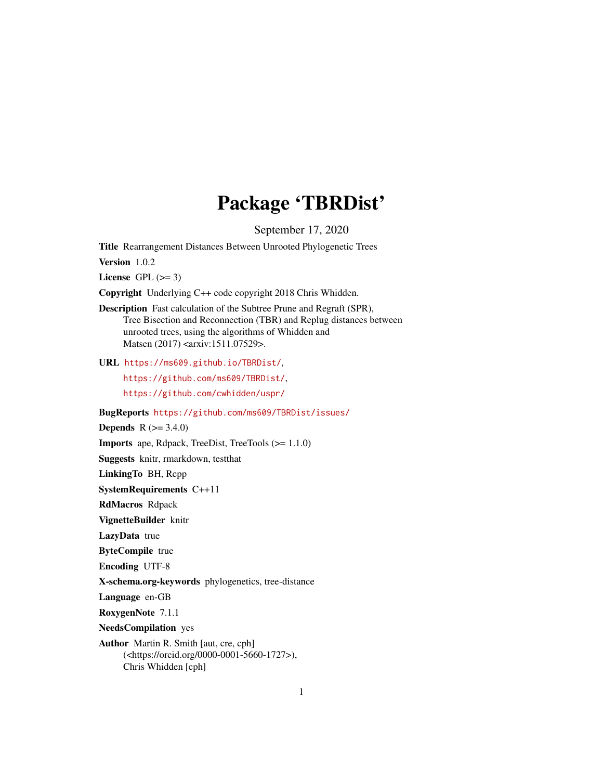## Package 'TBRDist'

September 17, 2020

<span id="page-0-0"></span>Title Rearrangement Distances Between Unrooted Phylogenetic Trees

Version 1.0.2

License GPL  $(>= 3)$ 

Copyright Underlying C++ code copyright 2018 Chris Whidden.

Description Fast calculation of the Subtree Prune and Regraft (SPR), Tree Bisection and Reconnection (TBR) and Replug distances between unrooted trees, using the algorithms of Whidden and Matsen (2017) <arxiv:1511.07529>.

URL <https://ms609.github.io/TBRDist/>,

<https://github.com/ms609/TBRDist/>,

<https://github.com/cwhidden/uspr/>

BugReports <https://github.com/ms609/TBRDist/issues/>

**Depends** R  $(>= 3.4.0)$ 

Imports ape, Rdpack, TreeDist, TreeTools (>= 1.1.0)

Suggests knitr, rmarkdown, testthat

LinkingTo BH, Rcpp

SystemRequirements C++11

RdMacros Rdpack

VignetteBuilder knitr

LazyData true

ByteCompile true

Encoding UTF-8

X-schema.org-keywords phylogenetics, tree-distance

Language en-GB

RoxygenNote 7.1.1

NeedsCompilation yes

Author Martin R. Smith [aut, cre, cph] (<https://orcid.org/0000-0001-5660-1727>), Chris Whidden [cph]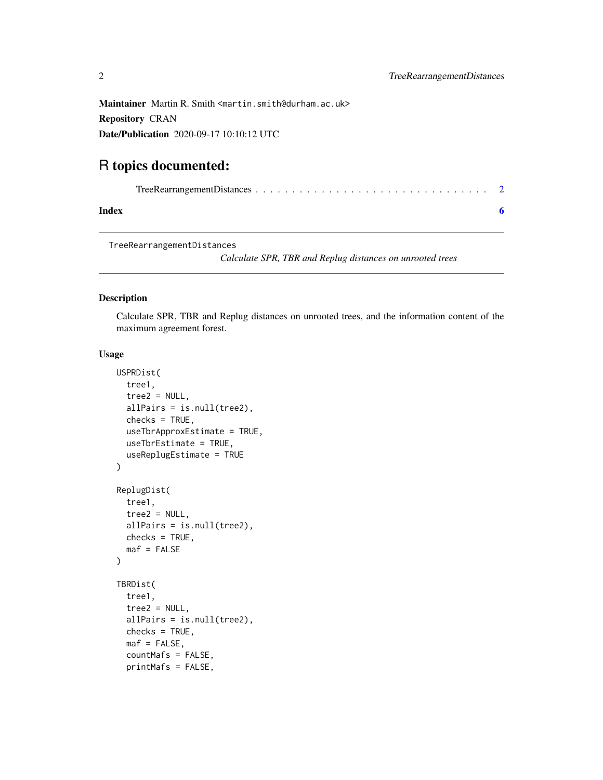<span id="page-1-0"></span>Repository CRAN

Date/Publication 2020-09-17 10:10:12 UTC

### R topics documented:

#### **Index** [6](#page-5-0) **6**

TreeRearrangementDistances

*Calculate SPR, TBR and Replug distances on unrooted trees*

#### Description

Calculate SPR, TBR and Replug distances on unrooted trees, and the information content of the maximum agreement forest.

#### Usage

```
USPRDist(
  tree1,
  tree2 = NULL,
  allPairs = is.null(tree2),
  checks = TRUE,
  useTbrApproxEstimate = TRUE,
  useTbrEstimate = TRUE,
  useReplugEstimate = TRUE
\mathcal{L}ReplugDist(
  tree1,
  tree2 = NULL,
  allPairs = is.null(tree2),
  checks = TRUE,
  \text{maf} = FALSE
)
TBRDist(
  tree1,
  tree2 = NULL,allPairs = is.null(tree2),
  checks = TRUE,
  \text{maf} = \text{FALSE},
  countMafs = FALSE,
  printMafs = FALSE,
```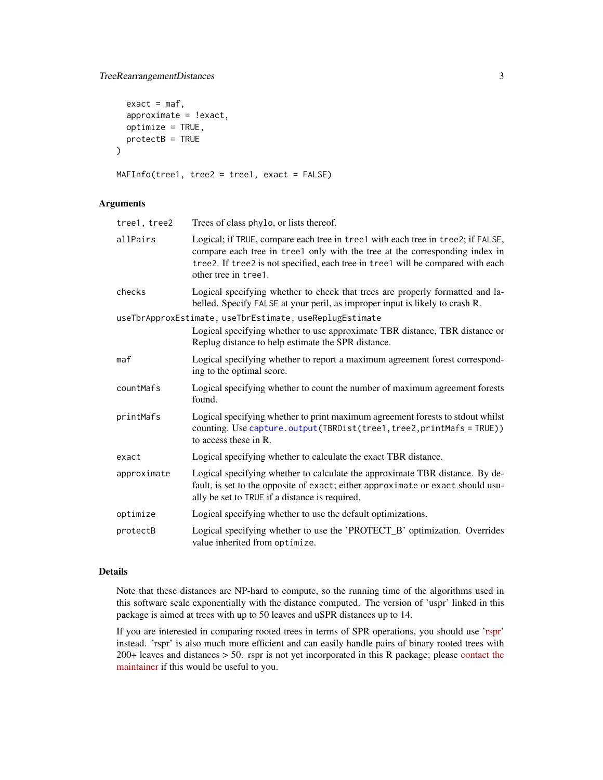#### <span id="page-2-0"></span>TreeRearrangementDistances 3

```
exact = maf,approximate = !exact,
 optimize = TRUE,
 protectB = TRUE)
MAFInfo(tree1, tree2 = tree1, exact = FALSE)
```
#### Arguments

| tree1, tree2 | Trees of class phylo, or lists thereof.                                                                                                                                                                                                                                   |
|--------------|---------------------------------------------------------------------------------------------------------------------------------------------------------------------------------------------------------------------------------------------------------------------------|
| allPairs     | Logical; if TRUE, compare each tree in tree1 with each tree in tree2; if FALSE,<br>compare each tree in tree1 only with the tree at the corresponding index in<br>tree2. If tree2 is not specified, each tree in tree1 will be compared with each<br>other tree in tree1. |
| checks       | Logical specifying whether to check that trees are properly formatted and la-<br>belled. Specify FALSE at your peril, as improper input is likely to crash R.                                                                                                             |
|              | useTbrApproxEstimate, useTbrEstimate, useReplugEstimate<br>Logical specifying whether to use approximate TBR distance, TBR distance or<br>Replug distance to help estimate the SPR distance.                                                                              |
| maf          | Logical specifying whether to report a maximum agreement forest correspond-<br>ing to the optimal score.                                                                                                                                                                  |
| countMafs    | Logical specifying whether to count the number of maximum agreement forests<br>found.                                                                                                                                                                                     |
| printMafs    | Logical specifying whether to print maximum agreement forests to stdout whilst<br>counting. Use capture.output(TBRDist(tree1, tree2, printMafs = TRUE))<br>to access these in R.                                                                                          |
| exact        | Logical specifying whether to calculate the exact TBR distance.                                                                                                                                                                                                           |
| approximate  | Logical specifying whether to calculate the approximate TBR distance. By de-<br>fault, is set to the opposite of exact; either approximate or exact should usu-<br>ally be set to TRUE if a distance is required.                                                         |
| optimize     | Logical specifying whether to use the default optimizations.                                                                                                                                                                                                              |
| protectB     | Logical specifying whether to use the 'PROTECT_B' optimization. Overrides<br>value inherited from optimize.                                                                                                                                                               |

#### Details

Note that these distances are NP-hard to compute, so the running time of the algorithms used in this software scale exponentially with the distance computed. The version of 'uspr' linked in this package is aimed at trees with up to 50 leaves and uSPR distances up to 14.

If you are interested in comparing rooted trees in terms of SPR operations, you should use ['rspr'](https://github.com/cwhidden/rspr/) instead. 'rspr' is also much more efficient and can easily handle pairs of binary rooted trees with 200+ leaves and distances > 50. rspr is not yet incorporated in this R package; please [contact the](https://github.com/ms609/TBRDist/issues/2/) [maintainer](https://github.com/ms609/TBRDist/issues/2/) if this would be useful to you.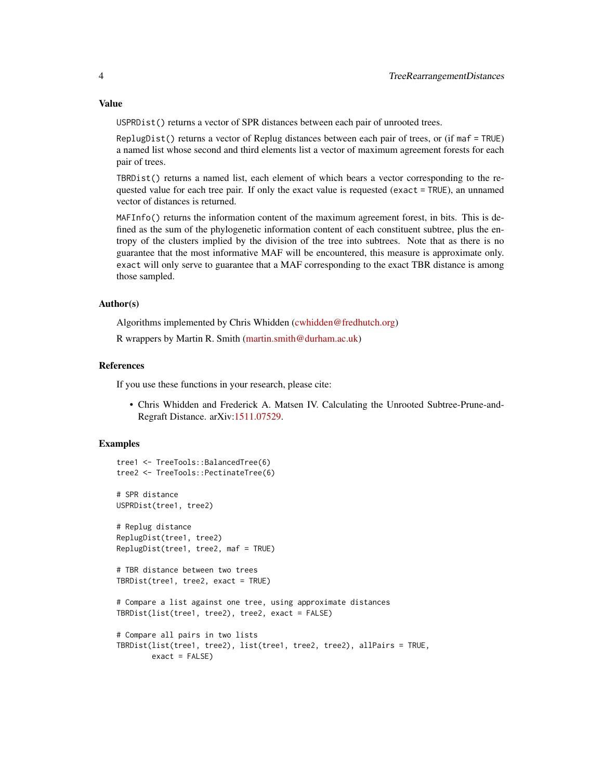#### Value

USPRDist() returns a vector of SPR distances between each pair of unrooted trees.

ReplugDist() returns a vector of Replug distances between each pair of trees, or (if maf = TRUE) a named list whose second and third elements list a vector of maximum agreement forests for each pair of trees.

TBRDist() returns a named list, each element of which bears a vector corresponding to the requested value for each tree pair. If only the exact value is requested (exact = TRUE), an unnamed vector of distances is returned.

MAFInfo() returns the information content of the maximum agreement forest, in bits. This is defined as the sum of the phylogenetic information content of each constituent subtree, plus the entropy of the clusters implied by the division of the tree into subtrees. Note that as there is no guarantee that the most informative MAF will be encountered, this measure is approximate only. exact will only serve to guarantee that a MAF corresponding to the exact TBR distance is among those sampled.

#### Author(s)

Algorithms implemented by Chris Whidden [\(cwhidden@fredhutch.org\)](mailto:cwhidden@fredhutch.org)

R wrappers by Martin R. Smith [\(martin.smith@durham.ac.uk\)](mailto:martin.smith@durham.ac.uk)

#### References

If you use these functions in your research, please cite:

• Chris Whidden and Frederick A. Matsen IV. Calculating the Unrooted Subtree-Prune-and-Regraft Distance. arXiv[:1511.07529.](https://arxiv.org/abs/1511.07529)

#### Examples

```
tree1 <- TreeTools::BalancedTree(6)
tree2 <- TreeTools::PectinateTree(6)
# SPR distance
USPRDist(tree1, tree2)
# Replug distance
ReplugDist(tree1, tree2)
ReplugDist(tree1, tree2, maf = TRUE)
# TBR distance between two trees
TBRDist(tree1, tree2, exact = TRUE)
# Compare a list against one tree, using approximate distances
TBRDist(list(tree1, tree2), tree2, exact = FALSE)
# Compare all pairs in two lists
TBRDist(list(tree1, tree2), list(tree1, tree2, tree2), allPairs = TRUE,
        exact = FALSE)
```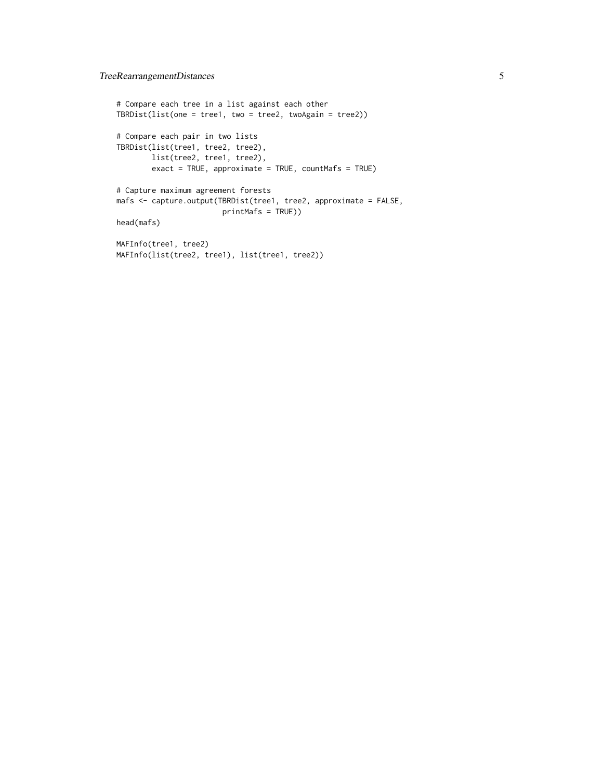```
# Compare each tree in a list against each other
TBRDist(list(one = tree1, two = tree2, twoAgain = tree2))
# Compare each pair in two lists
TBRDist(list(tree1, tree2, tree2),
       list(tree2, tree1, tree2),
        exact = TRUE, approximate = TRUE, countMafs = TRUE)
# Capture maximum agreement forests
mafs <- capture.output(TBRDist(tree1, tree2, approximate = FALSE,
                        printMafs = TRUE))
head(mafs)
MAFInfo(tree1, tree2)
MAFInfo(list(tree2, tree1), list(tree1, tree2))
```